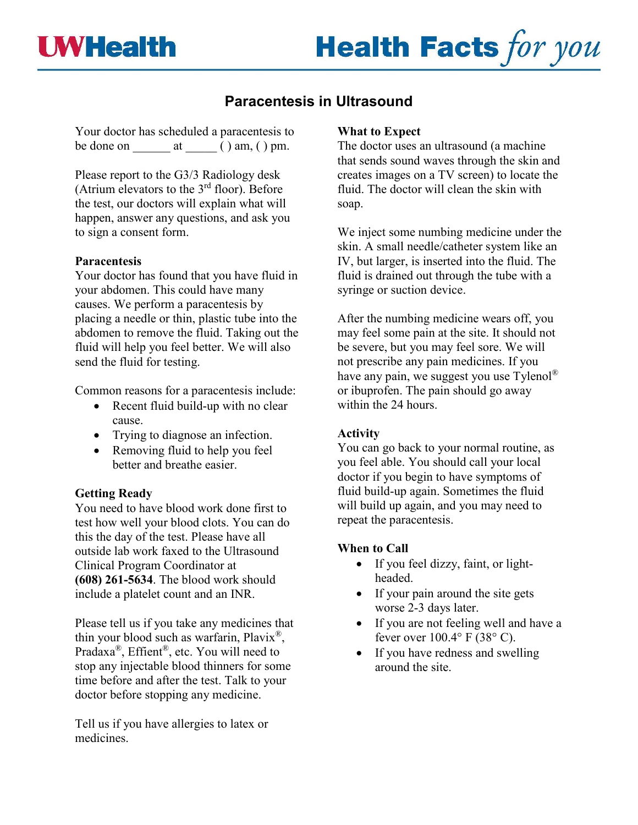# **Health Facts for you**

## **Paracentesis in Ultrasound**

Your doctor has scheduled a paracentesis to be done on  $\qquad \qquad$  at  $\qquad \qquad$  ( ) am, ( ) pm.

Please report to the G3/3 Radiology desk (Atrium elevators to the  $3<sup>rd</sup>$  floor). Before the test, our doctors will explain what will happen, answer any questions, and ask you to sign a consent form.

#### **Paracentesis**

Your doctor has found that you have fluid in your abdomen. This could have many causes. We perform a paracentesis by placing a needle or thin, plastic tube into the abdomen to remove the fluid. Taking out the fluid will help you feel better. We will also send the fluid for testing.

Common reasons for a paracentesis include:

- Recent fluid build-up with no clear cause.
- Trying to diagnose an infection.
- Removing fluid to help you feel better and breathe easier.

### **Getting Ready**

You need to have blood work done first to test how well your blood clots. You can do this the day of the test. Please have all outside lab work faxed to the Ultrasound Clinical Program Coordinator at **(608) 261-5634**. The blood work should include a platelet count and an INR.

Please tell us if you take any medicines that thin your blood such as warfarin,  $Plavi x^{\circledast}$ , Pradaxa®, Effient®, etc. You will need to stop any injectable blood thinners for some time before and after the test. Talk to your doctor before stopping any medicine.

Tell us if you have allergies to latex or medicines.

#### **What to Expect**

The doctor uses an ultrasound (a machine that sends sound waves through the skin and creates images on a TV screen) to locate the fluid. The doctor will clean the skin with soap.

We inject some numbing medicine under the skin. A small needle/catheter system like an IV, but larger, is inserted into the fluid. The fluid is drained out through the tube with a syringe or suction device.

After the numbing medicine wears off, you may feel some pain at the site. It should not be severe, but you may feel sore. We will not prescribe any pain medicines. If you have any pain, we suggest you use  $T$ ylenol<sup>®</sup> or ibuprofen. The pain should go away within the 24 hours.

#### **Activity**

You can go back to your normal routine, as you feel able. You should call your local doctor if you begin to have symptoms of fluid build-up again. Sometimes the fluid will build up again, and you may need to repeat the paracentesis.

#### **When to Call**

- If you feel dizzy, faint, or lightheaded.
- If your pain around the site gets worse 2-3 days later.
- If you are not feeling well and have a fever over  $100.4^\circ$  F (38 $^\circ$  C).
- If you have redness and swelling around the site.